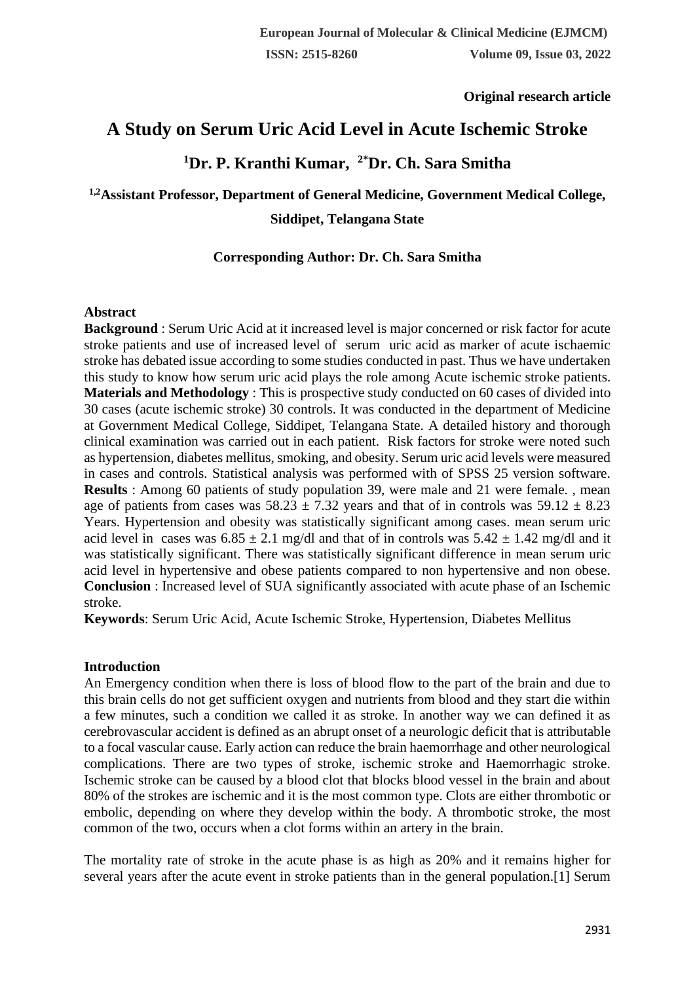**Original research article** 

# **A Study on Serum Uric Acid Level in Acute Ischemic Stroke**

# **<sup>1</sup>Dr. P. Kranthi Kumar, 2\*Dr. Ch. Sara Smitha**

# **1,2Assistant Professor, Department of General Medicine, Government Medical College, Siddipet, Telangana State**

## **Corresponding Author: Dr. Ch. Sara Smitha**

#### **Abstract**

**Background** : Serum Uric Acid at it increased level is major concerned or risk factor for acute stroke patients and use of increased level of serum uric acid as marker of acute ischaemic stroke has debated issue according to some studies conducted in past. Thus we have undertaken this study to know how serum uric acid plays the role among Acute ischemic stroke patients. **Materials and Methodology** : This is prospective study conducted on 60 cases of divided into 30 cases (acute ischemic stroke) 30 controls. It was conducted in the department of Medicine at Government Medical College, Siddipet, Telangana State. A detailed history and thorough clinical examination was carried out in each patient. Risk factors for stroke were noted such as hypertension, diabetes mellitus, smoking, and obesity. Serum uric acid levels were measured in cases and controls. Statistical analysis was performed with of SPSS 25 version software. **Results** : Among 60 patients of study population 39, were male and 21 were female., mean age of patients from cases was  $58.23 \pm 7.32$  years and that of in controls was  $59.12 \pm 8.23$ Years. Hypertension and obesity was statistically significant among cases. mean serum uric acid level in cases was  $6.85 \pm 2.1$  mg/dl and that of in controls was  $5.42 \pm 1.42$  mg/dl and it was statistically significant. There was statistically significant difference in mean serum uric acid level in hypertensive and obese patients compared to non hypertensive and non obese. **Conclusion** : Increased level of SUA significantly associated with acute phase of an Ischemic stroke.

**Keywords**: Serum Uric Acid, Acute Ischemic Stroke, Hypertension, Diabetes Mellitus

## **Introduction**

An Emergency condition when there is loss of blood flow to the part of the brain and due to this brain cells do not get sufficient oxygen and nutrients from blood and they start die within a few minutes, such a condition we called it as stroke. In another way we can defined it as cerebrovascular accident is defined as an abrupt onset of a neurologic deficit that is attributable to a focal vascular cause. Early action can reduce the brain haemorrhage and other neurological complications. There are two types of stroke, ischemic stroke and Haemorrhagic stroke. Ischemic stroke can be caused by a blood clot that blocks blood vessel in the brain and about 80% of the strokes are ischemic and it is the most common type. Clots are either thrombotic or embolic, depending on where they develop within the body. A thrombotic stroke, the most common of the two, occurs when a clot forms within an artery in the brain.

The mortality rate of stroke in the acute phase is as high as 20% and it remains higher for several years after the acute event in stroke patients than in the general population.[1] Serum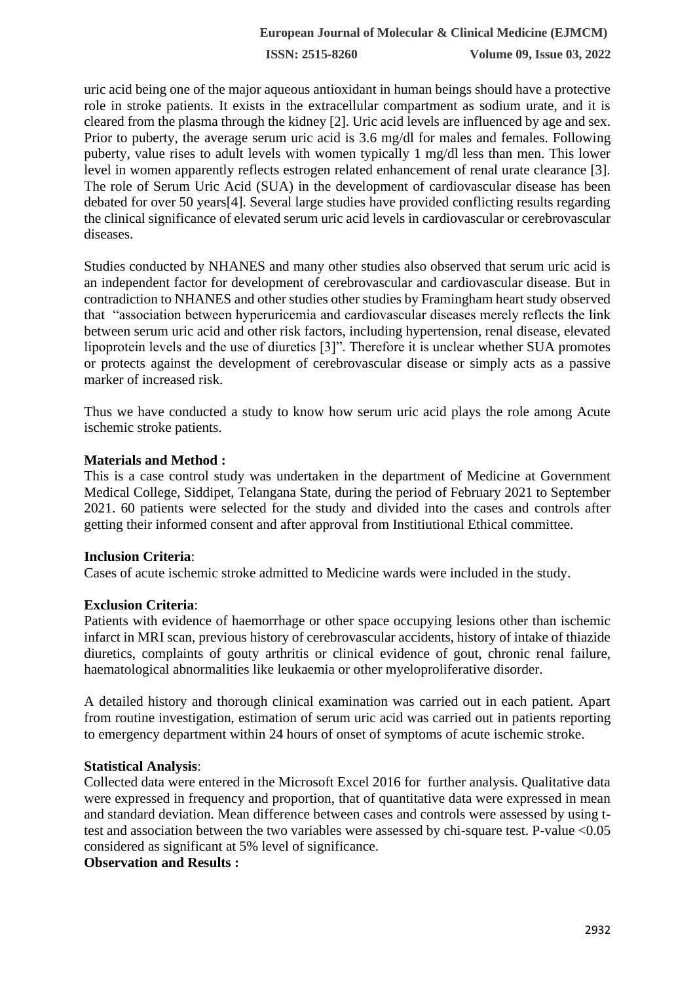**ISSN: 2515-8260 Volume 09, Issue 03, 2022**

uric acid being one of the major aqueous antioxidant in human beings should have a protective role in stroke patients. It exists in the extracellular compartment as sodium urate, and it is cleared from the plasma through the kidney [2]. Uric acid levels are influenced by age and sex. Prior to puberty, the average serum uric acid is 3.6 mg/dl for males and females. Following puberty, value rises to adult levels with women typically 1 mg/dl less than men. This lower level in women apparently reflects estrogen related enhancement of renal urate clearance [3]. The role of Serum Uric Acid (SUA) in the development of cardiovascular disease has been debated for over 50 years[4]. Several large studies have provided conflicting results regarding the clinical significance of elevated serum uric acid levels in cardiovascular or cerebrovascular diseases.

Studies conducted by NHANES and many other studies also observed that serum uric acid is an independent factor for development of cerebrovascular and cardiovascular disease. But in contradiction to NHANES and other studies other studies by Framingham heart study observed that "association between hyperuricemia and cardiovascular diseases merely reflects the link between serum uric acid and other risk factors, including hypertension, renal disease, elevated lipoprotein levels and the use of diuretics [3]". Therefore it is unclear whether SUA promotes or protects against the development of cerebrovascular disease or simply acts as a passive marker of increased risk.

Thus we have conducted a study to know how serum uric acid plays the role among Acute ischemic stroke patients.

#### **Materials and Method :**

This is a case control study was undertaken in the department of Medicine at Government Medical College, Siddipet, Telangana State, during the period of February 2021 to September 2021. 60 patients were selected for the study and divided into the cases and controls after getting their informed consent and after approval from Institiutional Ethical committee.

#### **Inclusion Criteria**:

Cases of acute ischemic stroke admitted to Medicine wards were included in the study.

## **Exclusion Criteria**:

Patients with evidence of haemorrhage or other space occupying lesions other than ischemic infarct in MRI scan, previous history of cerebrovascular accidents, history of intake of thiazide diuretics, complaints of gouty arthritis or clinical evidence of gout, chronic renal failure, haematological abnormalities like leukaemia or other myeloproliferative disorder.

A detailed history and thorough clinical examination was carried out in each patient. Apart from routine investigation, estimation of serum uric acid was carried out in patients reporting to emergency department within 24 hours of onset of symptoms of acute ischemic stroke.

## **Statistical Analysis**:

Collected data were entered in the Microsoft Excel 2016 for further analysis. Qualitative data were expressed in frequency and proportion, that of quantitative data were expressed in mean and standard deviation. Mean difference between cases and controls were assessed by using ttest and association between the two variables were assessed by chi-square test. P-value <0.05 considered as significant at 5% level of significance.

#### **Observation and Results :**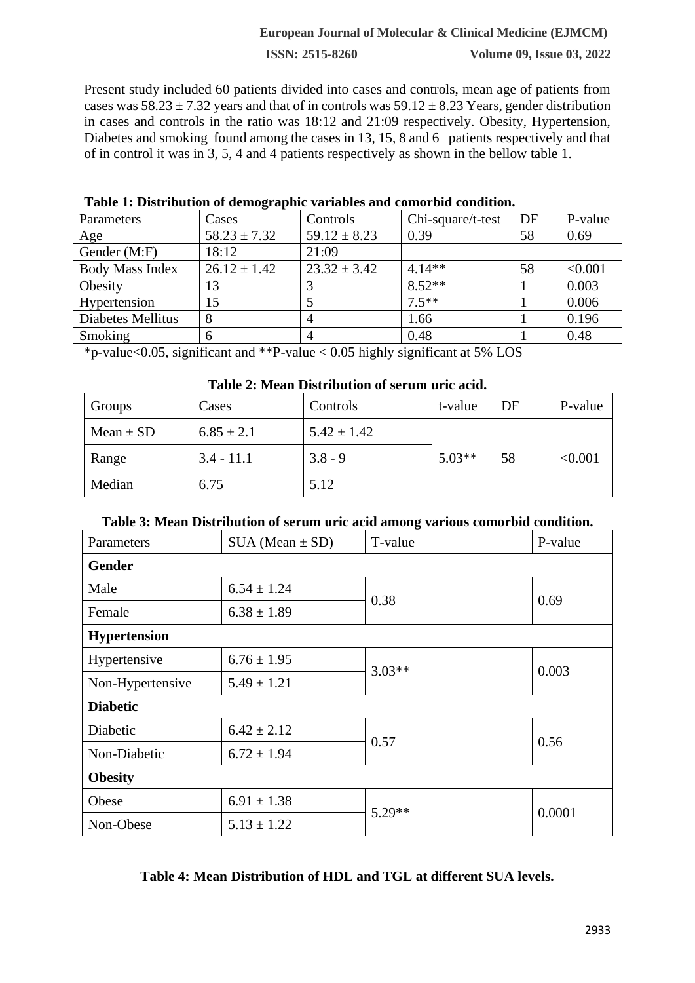#### **European Journal of Molecular & Clinical Medicine (EJMCM)**

**ISSN: 2515-8260 Volume 09, Issue 03, 2022**

Present study included 60 patients divided into cases and controls, mean age of patients from cases was  $58.23 \pm 7.32$  years and that of in controls was  $59.12 \pm 8.23$  Years, gender distribution in cases and controls in the ratio was 18:12 and 21:09 respectively. Obesity, Hypertension, Diabetes and smoking found among the cases in 13, 15, 8 and 6 patients respectively and that of in control it was in 3, 5, 4 and 4 patients respectively as shown in the bellow table 1.

| Parameters             | Cases            | Controls         | Chi-square/t-test | DF | P-value |
|------------------------|------------------|------------------|-------------------|----|---------|
| Age                    | $58.23 \pm 7.32$ | $59.12 \pm 8.23$ | 0.39              | 58 | 0.69    |
| Gender (M:F)           | 18:12            | 21:09            |                   |    |         |
| <b>Body Mass Index</b> | $26.12 \pm 1.42$ | $23.32 \pm 3.42$ | $4.14**$          | 58 | < 0.001 |
| Obesity                | 13               |                  | $8.52**$          |    | 0.003   |
| Hypertension           | 15               |                  | $7.5***$          |    | 0.006   |
| Diabetes Mellitus      | 8                | 4                | 1.66              |    | 0.196   |
| Smoking                | 6                | 4                | 0.48              |    | 0.48    |

**Table 1: Distribution of demographic variables and comorbid condition.**

\*p-value<0.05, significant and \*\*P-value < 0.05 highly significant at 5% LOS

| Table 2: Mean Distribution of serum uric acid. |  |
|------------------------------------------------|--|
|------------------------------------------------|--|

| Groups        | Cases          | Controls        | t-value  | DF | P-value |
|---------------|----------------|-----------------|----------|----|---------|
| Mean $\pm$ SD | $6.85 \pm 2.1$ | $5.42 \pm 1.42$ |          |    |         |
| Range         | $3.4 - 11.1$   | $3.8 - 9$       | $5.03**$ | 58 | < 0.001 |
| Median        | 6.75           | 5.12            |          |    |         |

#### **Table 3: Mean Distribution of serum uric acid among various comorbid condition.**

| Parameters          | $SUA (Mean \pm SD)$ | T-value  | P-value |  |
|---------------------|---------------------|----------|---------|--|
| <b>Gender</b>       |                     |          |         |  |
| Male                | $6.54 \pm 1.24$     | 0.38     | 0.69    |  |
| Female              | $6.38 \pm 1.89$     |          |         |  |
| <b>Hypertension</b> |                     |          |         |  |
| Hypertensive        | $6.76 \pm 1.95$     | $3.03**$ | 0.003   |  |
| Non-Hypertensive    | $5.49 \pm 1.21$     |          |         |  |
| <b>Diabetic</b>     |                     |          |         |  |
| Diabetic            | $6.42 \pm 2.12$     |          | 0.56    |  |
| Non-Diabetic        | $6.72 \pm 1.94$     | 0.57     |         |  |
| <b>Obesity</b>      |                     |          |         |  |
| Obese               | $6.91 \pm 1.38$     | $5.29**$ | 0.0001  |  |
| Non-Obese           | $5.13 \pm 1.22$     |          |         |  |

| Table 4: Mean Distribution of HDL and TGL at different SUA levels. |  |
|--------------------------------------------------------------------|--|
|--------------------------------------------------------------------|--|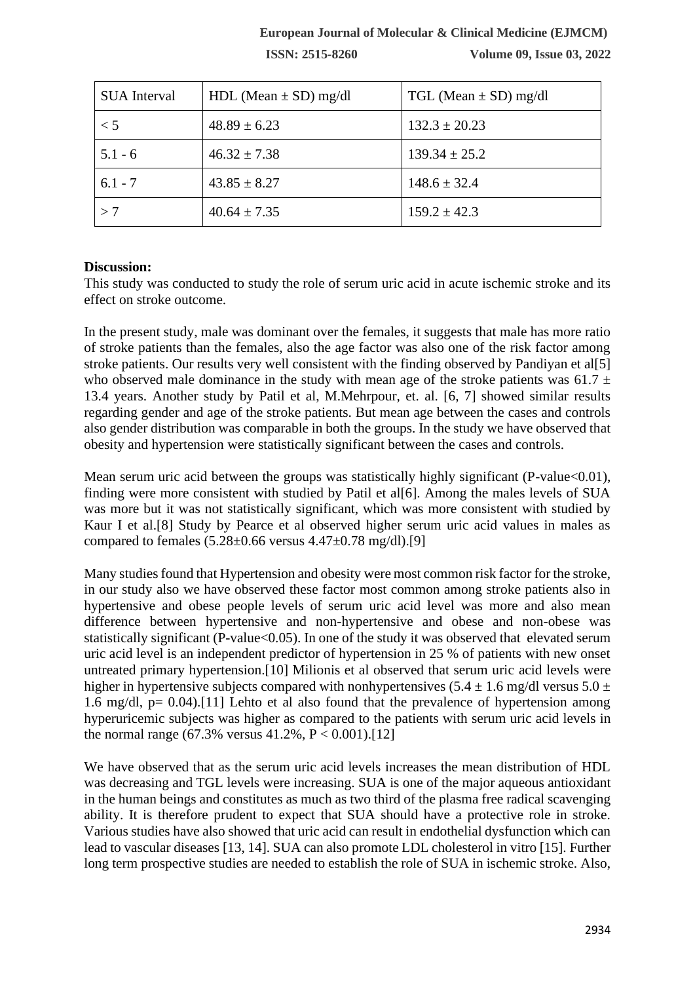**ISSN: 2515-8260 Volume 09, Issue 03, 2022**

| <b>SUA</b> Interval | HDL (Mean $\pm$ SD) mg/dl | TGL (Mean $\pm$ SD) mg/dl |
|---------------------|---------------------------|---------------------------|
| $\lt$ 5             | $48.89 \pm 6.23$          | $132.3 \pm 20.23$         |
| $5.1 - 6$           | $46.32 \pm 7.38$          | $139.34 \pm 25.2$         |
| $6.1 - 7$           | $43.85 \pm 8.27$          | $148.6 \pm 32.4$          |
| >7                  | $40.64 \pm 7.35$          | $159.2 \pm 42.3$          |

#### **Discussion:**

This study was conducted to study the role of serum uric acid in acute ischemic stroke and its effect on stroke outcome.

In the present study, male was dominant over the females, it suggests that male has more ratio of stroke patients than the females, also the age factor was also one of the risk factor among stroke patients. Our results very well consistent with the finding observed by Pandiyan et all [5] who observed male dominance in the study with mean age of the stroke patients was 61.7  $\pm$ 13.4 years. Another study by Patil et al, M.Mehrpour, et. al. [6, 7] showed similar results regarding gender and age of the stroke patients. But mean age between the cases and controls also gender distribution was comparable in both the groups. In the study we have observed that obesity and hypertension were statistically significant between the cases and controls.

Mean serum uric acid between the groups was statistically highly significant (P-value<0.01), finding were more consistent with studied by Patil et al[6]. Among the males levels of SUA was more but it was not statistically significant, which was more consistent with studied by Kaur I et al.[8] Study by Pearce et al observed higher serum uric acid values in males as compared to females  $(5.28 \pm 0.66$  versus  $4.47 \pm 0.78$  mg/dl).[9]

Many studies found that Hypertension and obesity were most common risk factor for the stroke, in our study also we have observed these factor most common among stroke patients also in hypertensive and obese people levels of serum uric acid level was more and also mean difference between hypertensive and non-hypertensive and obese and non-obese was statistically significant (P-value $<0.05$ ). In one of the study it was observed that elevated serum uric acid level is an independent predictor of hypertension in 25 % of patients with new onset untreated primary hypertension.[10] Milionis et al observed that serum uric acid levels were higher in hypertensive subjects compared with nonhypertensives (5.4  $\pm$  1.6 mg/dl versus 5.0  $\pm$ 1.6 mg/dl,  $p = 0.04$ .[11] Lehto et al also found that the prevalence of hypertension among hyperuricemic subjects was higher as compared to the patients with serum uric acid levels in the normal range  $(67.3\% \text{ versus } 41.2\% \text{ , } P < 0.001)$ . [12]

We have observed that as the serum uric acid levels increases the mean distribution of HDL was decreasing and TGL levels were increasing. SUA is one of the major aqueous antioxidant in the human beings and constitutes as much as two third of the plasma free radical scavenging ability. It is therefore prudent to expect that SUA should have a protective role in stroke. Various studies have also showed that uric acid can result in endothelial dysfunction which can lead to vascular diseases [13, 14]. SUA can also promote LDL cholesterol in vitro [15]. Further long term prospective studies are needed to establish the role of SUA in ischemic stroke. Also,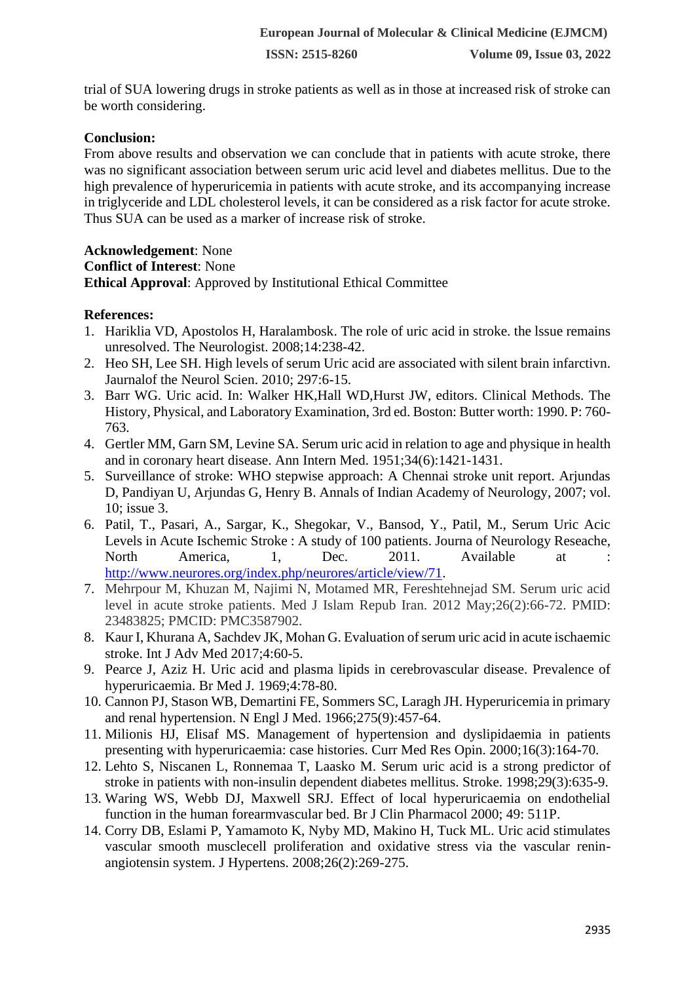trial of SUA lowering drugs in stroke patients as well as in those at increased risk of stroke can be worth considering.

# **Conclusion:**

From above results and observation we can conclude that in patients with acute stroke, there was no significant association between serum uric acid level and diabetes mellitus. Due to the high prevalence of hyperuricemia in patients with acute stroke, and its accompanying increase in triglyceride and LDL cholesterol levels, it can be considered as a risk factor for acute stroke. Thus SUA can be used as a marker of increase risk of stroke.

**Acknowledgement**: None **Conflict of Interest**: None **Ethical Approval**: Approved by Institutional Ethical Committee

## **References:**

- 1. Hariklia VD, Apostolos H, Haralambosk. The role of uric acid in stroke. the lssue remains unresolved. The Neurologist. 2008;14:238-42.
- 2. Heo SH, Lee SH. High levels of serum Uric acid are associated with silent brain infarctivn. Jaurnalof the Neurol Scien. 2010; 297:6-15.
- 3. Barr WG. Uric acid. In: Walker HK,Hall WD,Hurst JW, editors. Clinical Methods. The History, Physical, and Laboratory Examination, 3rd ed. Boston: Butter worth: 1990. P: 760- 763.
- 4. Gertler MM, Garn SM, Levine SA. Serum uric acid in relation to age and physique in health and in coronary heart disease. Ann Intern Med. 1951;34(6):1421-1431.
- 5. Surveillance of stroke: WHO stepwise approach: A Chennai stroke unit report. Arjundas D, Pandiyan U, Arjundas G, Henry B. Annals of Indian Academy of Neurology, 2007; vol. 10; issue 3.
- 6. Patil, T., Pasari, A., Sargar, K., Shegokar, V., Bansod, Y., Patil, M., Serum Uric Acic Levels in Acute Ischemic Stroke : A study of 100 patients. Journa of Neurology Reseache, North America, 1, Dec. 2011. Available at : [http://www.neurores.org/index.php/neurores/article/view/71.](http://www.neurores.org/index.php/neurores/article/view/71)
- 7. Mehrpour M, Khuzan M, Najimi N, Motamed MR, Fereshtehnejad SM. Serum uric acid level in acute stroke patients. Med J Islam Repub Iran. 2012 May;26(2):66-72. PMID: 23483825; PMCID: PMC3587902.
- 8. Kaur I, Khurana A, Sachdev JK, Mohan G. Evaluation of serum uric acid in acute ischaemic stroke. Int J Adv Med 2017;4:60-5.
- 9. Pearce J, Aziz H. Uric acid and plasma lipids in cerebrovascular disease. Prevalence of hyperuricaemia. Br Med J. 1969;4:78-80.
- 10. Cannon PJ, Stason WB, Demartini FE, Sommers SC, Laragh JH. Hyperuricemia in primary and renal hypertension. N Engl J Med. 1966;275(9):457-64.
- 11. Milionis HJ, Elisaf MS. Management of hypertension and dyslipidaemia in patients presenting with hyperuricaemia: case histories. Curr Med Res Opin. 2000;16(3):164-70.
- 12. Lehto S, Niscanen L, Ronnemaa T, Laasko M. Serum uric acid is a strong predictor of stroke in patients with non-insulin dependent diabetes mellitus. Stroke. 1998;29(3):635-9.
- 13. Waring WS, Webb DJ, Maxwell SRJ. Effect of local hyperuricaemia on endothelial function in the human forearmvascular bed. Br J Clin Pharmacol 2000; 49: 511P.
- 14. Corry DB, Eslami P, Yamamoto K, Nyby MD, Makino H, Tuck ML. Uric acid stimulates vascular smooth musclecell proliferation and oxidative stress via the vascular reninangiotensin system. J Hypertens. 2008;26(2):269-275.